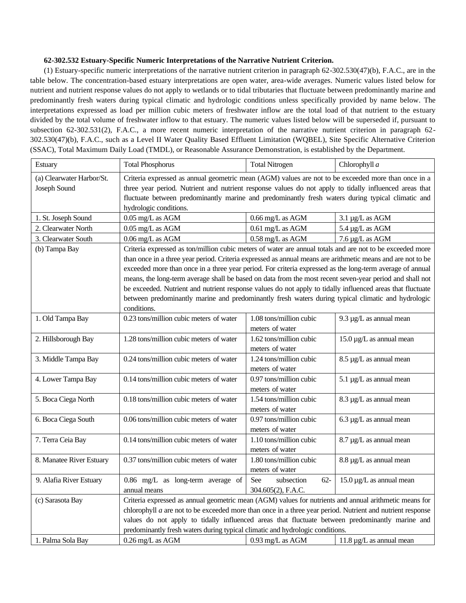## **62-302.532 Estuary-Specific Numeric Interpretations of the Narrative Nutrient Criterion.**

(1) Estuary-specific numeric interpretations of the narrative nutrient criterion in paragraph 62-302.530(47)(b), F.A.C., are in the table below. The concentration-based estuary interpretations are open water, area-wide averages. Numeric values listed below for nutrient and nutrient response values do not apply to wetlands or to tidal tributaries that fluctuate between predominantly marine and predominantly fresh waters during typical climatic and hydrologic conditions unless specifically provided by name below. The interpretations expressed as load per million cubic meters of freshwater inflow are the total load of that nutrient to the estuary divided by the total volume of freshwater inflow to that estuary. The numeric values listed below will be superseded if, pursuant to subsection 62-302.531(2), F.A.C., a more recent numeric interpretation of the narrative nutrient criterion in paragraph 62- 302.530(47)(b), F.A.C., such as a Level II Water Quality Based Effluent Limitation (WQBEL), Site Specific Alternative Criterion (SSAC), Total Maximum Daily Load (TMDL), or Reasonable Assurance Demonstration, is established by the Department.

| Estuary                                   | <b>Total Phosphorus</b>                                                                                                                                                                                       | <b>Total Nitrogen</b>                      | Chlorophyll a                              |  |
|-------------------------------------------|---------------------------------------------------------------------------------------------------------------------------------------------------------------------------------------------------------------|--------------------------------------------|--------------------------------------------|--|
| (a) Clearwater Harbor/St.<br>Joseph Sound | Criteria expressed as annual geometric mean (AGM) values are not to be exceeded more than once in a<br>three year period. Nutrient and nutrient response values do not apply to tidally influenced areas that |                                            |                                            |  |
|                                           | fluctuate between predominantly marine and predominantly fresh waters during typical climatic and                                                                                                             |                                            |                                            |  |
|                                           | hydrologic conditions.                                                                                                                                                                                        |                                            |                                            |  |
| 1. St. Joseph Sound                       | 0.05 mg/L as AGM                                                                                                                                                                                              | $0.66$ mg/L as AGM                         | $3.1 \mu g/L$ as AGM                       |  |
| 2. Clearwater North                       | 0.05 mg/L as AGM                                                                                                                                                                                              | 0.61 mg/L as AGM                           | 5.4 µg/L as AGM                            |  |
| 3. Clearwater South                       | 0.06 mg/L as AGM                                                                                                                                                                                              | 0.58 mg/L as AGM                           | 7.6 µg/L as AGM                            |  |
| (b) Tampa Bay                             | Criteria expressed as ton/million cubic meters of water are annual totals and are not to be exceeded more                                                                                                     |                                            |                                            |  |
|                                           | than once in a three year period. Criteria expressed as annual means are arithmetic means and are not to be                                                                                                   |                                            |                                            |  |
|                                           | exceeded more than once in a three year period. For criteria expressed as the long-term average of annual                                                                                                     |                                            |                                            |  |
|                                           | means, the long-term average shall be based on data from the most recent seven-year period and shall not                                                                                                      |                                            |                                            |  |
|                                           | be exceeded. Nutrient and nutrient response values do not apply to tidally influenced areas that fluctuate                                                                                                    |                                            |                                            |  |
|                                           | between predominantly marine and predominantly fresh waters during typical climatic and hydrologic                                                                                                            |                                            |                                            |  |
|                                           | conditions.                                                                                                                                                                                                   |                                            |                                            |  |
| 1. Old Tampa Bay                          | 0.23 tons/million cubic meters of water                                                                                                                                                                       | 1.08 tons/million cubic                    | 9.3 $\mu$ g/L as annual mean               |  |
|                                           |                                                                                                                                                                                                               | meters of water<br>1.62 tons/million cubic |                                            |  |
| 2. Hillsborough Bay                       | 1.28 tons/million cubic meters of water                                                                                                                                                                       | meters of water                            | $15.0 \,\mathrm{\mu g/L}$ as annual mean   |  |
| 3. Middle Tampa Bay                       | 0.24 tons/million cubic meters of water                                                                                                                                                                       | 1.24 tons/million cubic                    | 8.5 µg/L as annual mean                    |  |
|                                           |                                                                                                                                                                                                               | meters of water                            |                                            |  |
| 4. Lower Tampa Bay                        | 0.14 tons/million cubic meters of water                                                                                                                                                                       | 0.97 tons/million cubic                    | $5.1 \mu g/L$ as annual mean               |  |
|                                           |                                                                                                                                                                                                               | meters of water                            |                                            |  |
| 5. Boca Ciega North                       | 0.18 tons/million cubic meters of water                                                                                                                                                                       | 1.54 tons/million cubic                    | 8.3 µg/L as annual mean                    |  |
|                                           |                                                                                                                                                                                                               | meters of water                            |                                            |  |
| 6. Boca Ciega South                       | 0.06 tons/million cubic meters of water                                                                                                                                                                       | 0.97 tons/million cubic                    | $6.3 \mu g/L$ as annual mean               |  |
|                                           |                                                                                                                                                                                                               | meters of water                            |                                            |  |
| 7. Terra Ceia Bay                         | 0.14 tons/million cubic meters of water                                                                                                                                                                       | 1.10 tons/million cubic                    | 8.7 µg/L as annual mean                    |  |
|                                           |                                                                                                                                                                                                               | meters of water                            |                                            |  |
| 8. Manatee River Estuary                  | 0.37 tons/million cubic meters of water                                                                                                                                                                       | 1.80 tons/million cubic                    | 8.8 µg/L as annual mean                    |  |
|                                           |                                                                                                                                                                                                               | meters of water                            |                                            |  |
| 9. Alafia River Estuary                   | 0.86 mg/L as long-term average of                                                                                                                                                                             | See<br>subsection<br>$62 -$                | $15.0 \,\mathrm{\upmu g/L}$ as annual mean |  |
|                                           | annual means                                                                                                                                                                                                  | 304.605(2), F.A.C.                         |                                            |  |
| (c) Sarasota Bay                          | Criteria expressed as annual geometric mean (AGM) values for nutrients and annual arithmetic means for                                                                                                        |                                            |                                            |  |
|                                           | chlorophyll $a$ are not to be exceeded more than once in a three year period. Nutrient and nutrient response                                                                                                  |                                            |                                            |  |
|                                           | values do not apply to tidally influenced areas that fluctuate between predominantly marine and                                                                                                               |                                            |                                            |  |
|                                           | predominantly fresh waters during typical climatic and hydrologic conditions.                                                                                                                                 |                                            |                                            |  |
| 1. Palma Sola Bay                         | 0.26 mg/L as AGM                                                                                                                                                                                              | 0.93 mg/L as AGM                           | $11.8 \mu g/L$ as annual mean              |  |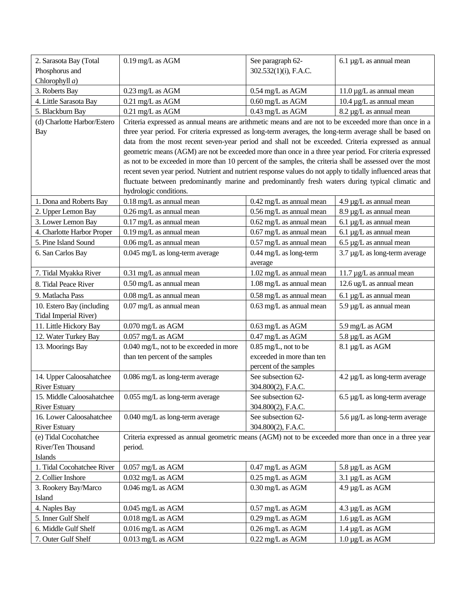| 2. Sarasota Bay (Total       | $0.19$ mg/L as AGM                                                                                            | See paragraph 62-          | $6.1 \mu g/L$ as annual mean                   |
|------------------------------|---------------------------------------------------------------------------------------------------------------|----------------------------|------------------------------------------------|
| Phosphorus and               |                                                                                                               | 302.532(1)(i), F.A.C.      |                                                |
| Chlorophyll $a$ )            |                                                                                                               |                            |                                                |
| 3. Roberts Bay               | 0.23 mg/L as AGM                                                                                              | 0.54 mg/L as AGM           | $11.0 \mu g/L$ as annual mean                  |
| 4. Little Sarasota Bay       | 0.21 mg/L as AGM                                                                                              | $0.60$ mg/L as AGM         | $10.4 \mu g/L$ as annual mean                  |
| 5. Blackburn Bay             | 0.21 mg/L as AGM                                                                                              | 0.43 mg/L as AGM           | 8.2 µg/L as annual mean                        |
| (d) Charlotte Harbor/Estero  | Criteria expressed as annual means are arithmetic means and are not to be exceeded more than once in a        |                            |                                                |
| <b>Bay</b>                   | three year period. For criteria expressed as long-term averages, the long-term average shall be based on      |                            |                                                |
|                              | data from the most recent seven-year period and shall not be exceeded. Criteria expressed as annual           |                            |                                                |
|                              | geometric means (AGM) are not be exceeded more than once in a three year period. For criteria expressed       |                            |                                                |
|                              | as not to be exceeded in more than 10 percent of the samples, the criteria shall be assessed over the most    |                            |                                                |
|                              | recent seven year period. Nutrient and nutrient response values do not apply to tidally influenced areas that |                            |                                                |
|                              | fluctuate between predominantly marine and predominantly fresh waters during typical climatic and             |                            |                                                |
|                              | hydrologic conditions.                                                                                        |                            |                                                |
| 1. Dona and Roberts Bay      | 0.18 mg/L as annual mean                                                                                      | 0.42 mg/L as annual mean   | $4.9 \mu g/L$ as annual mean                   |
| 2. Upper Lemon Bay           | 0.26 mg/L as annual mean                                                                                      | 0.56 mg/L as annual mean   | 8.9 µg/L as annual mean                        |
| 3. Lower Lemon Bay           | 0.17 mg/L as annual mean                                                                                      | 0.62 mg/L as annual mean   | $6.1 \mu g/L$ as annual mean                   |
| 4. Charlotte Harbor Proper   | $0.19$ mg/L as annual mean                                                                                    | $0.67$ mg/L as annual mean | $6.1 \mu g/L$ as annual mean                   |
| 5. Pine Island Sound         | 0.06 mg/L as annual mean                                                                                      | 0.57 mg/L as annual mean   | $6.5 \mu g/L$ as annual mean                   |
| 6. San Carlos Bay            | 0.045 mg/L as long-term average                                                                               | 0.44 mg/L as long-term     | 3.7 µg/L as long-term average                  |
|                              |                                                                                                               | average                    |                                                |
| 7. Tidal Myakka River        | 0.31 mg/L as annual mean                                                                                      | 1.02 mg/L as annual mean   | $11.7 \mu g/L$ as annual mean                  |
| 8. Tidal Peace River         | 0.50 mg/L as annual mean                                                                                      | 1.08 mg/L as annual mean   | 12.6 ug/L as annual mean                       |
| 9. Matlacha Pass             | 0.08 mg/L as annual mean                                                                                      | 0.58 mg/L as annual mean   | $6.1 \mu g/L$ as annual mean                   |
| 10. Estero Bay (including    | 0.07 mg/L as annual mean                                                                                      | 0.63 mg/L as annual mean   | 5.9 µg/L as annual mean                        |
| <b>Tidal Imperial River)</b> |                                                                                                               |                            |                                                |
| 11. Little Hickory Bay       | $0.070$ mg/L as AGM                                                                                           | 0.63 mg/L as AGM           | 5.9 mg/L as AGM                                |
| 12. Water Turkey Bay         | $0.057$ mg/L as AGM                                                                                           | 0.47 mg/L as AGM           | 5.8 µg/L as AGM                                |
| 13. Moorings Bay             | 0.040 mg/L, not to be exceeded in more                                                                        | 0.85 mg/L, not to be       | 8.1 µg/L as AGM                                |
|                              | than ten percent of the samples                                                                               | exceeded in more than ten  |                                                |
|                              |                                                                                                               | percent of the samples     |                                                |
| 14. Upper Caloosahatchee     | 0.086 mg/L as long-term average                                                                               | See subsection 62-         | 4.2 µg/L as long-term average                  |
| <b>River Estuary</b>         |                                                                                                               | 304.800(2), F.A.C.         |                                                |
| 15. Middle Caloosahatchee    | $0.055\;\mathrm{mg/L}$ as long-term average                                                                   | See subsection 62-         | $6.5\ \mathrm{\upmu g/L}$ as long-term average |
| <b>River Estuary</b>         |                                                                                                               | 304.800(2), F.A.C.         |                                                |
| 16. Lower Caloosahatchee     | 0.040 mg/L as long-term average                                                                               | See subsection 62-         | 5.6 µg/L as long-term average                  |
| <b>River Estuary</b>         |                                                                                                               | 304.800(2), F.A.C.         |                                                |
| (e) Tidal Cocohatchee        | Criteria expressed as annual geometric means (AGM) not to be exceeded more than once in a three year          |                            |                                                |
| River/Ten Thousand           | period.                                                                                                       |                            |                                                |
| Islands                      |                                                                                                               |                            |                                                |
| 1. Tidal Cocohatchee River   | $0.057$ mg/L as AGM                                                                                           | $0.47$ mg/L as AGM         | 5.8 µg/L as AGM                                |
| 2. Collier Inshore           | $0.032$ mg/L as AGM                                                                                           | 0.25 mg/L as AGM           | 3.1 µg/L as AGM                                |
| 3. Rookery Bay/Marco         | $0.046$ mg/L as AGM                                                                                           | 0.30 mg/L as AGM           | 4.9 µg/L as AGM                                |
| Island                       |                                                                                                               |                            |                                                |
| 4. Naples Bay                | $0.045$ mg/L as AGM                                                                                           | 0.57 mg/L as AGM           | 4.3 µg/L as AGM                                |
| 5. Inner Gulf Shelf          | $0.018$ mg/L as AGM                                                                                           | 0.29 mg/L as AGM           | $1.6 \mu g/L$ as AGM                           |
| 6. Middle Gulf Shelf         | $0.016$ mg/L as AGM                                                                                           | 0.26 mg/L as AGM           | 1.4 µg/L as AGM                                |
| 7. Outer Gulf Shelf          | $0.013$ mg/L as AGM                                                                                           | 0.22 mg/L as AGM           | $1.0 \mu g/L$ as AGM                           |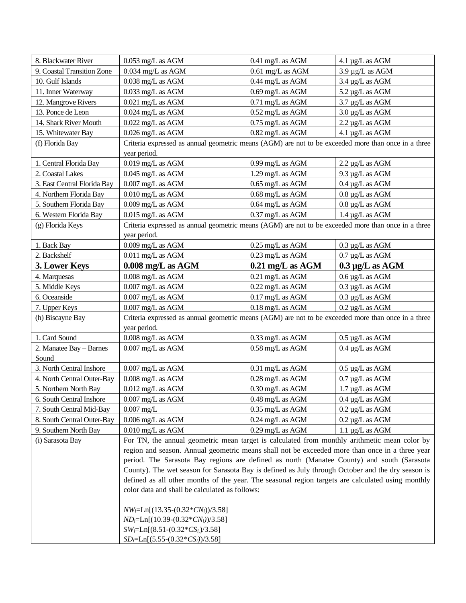| 8. Blackwater River         | $0.053$ mg/L as AGM                                                                                                 | 0.41 mg/L as AGM           | 4.1 µg/L as AGM                   |
|-----------------------------|---------------------------------------------------------------------------------------------------------------------|----------------------------|-----------------------------------|
| 9. Coastal Transition Zone  | $0.034$ mg/L as AGM                                                                                                 | $0.61$ mg/L as AGM         | 3.9 µg/L as AGM                   |
| 10. Gulf Islands            | 0.038 mg/L as AGM                                                                                                   | 0.44 mg/L as AGM           | 3.4 µg/L as AGM                   |
| 11. Inner Waterway          | 0.033 mg/L as AGM                                                                                                   | 0.69 mg/L as AGM           | 5.2 µg/L as AGM                   |
| 12. Mangrove Rivers         | $0.021 \; \mathrm{mg/L}$ as AGM                                                                                     | 0.71 mg/L as AGM           | 3.7 µg/L as AGM                   |
| 13. Ponce de Leon           | 0.024 mg/L as AGM                                                                                                   | 0.52 mg/L as AGM           | $3.0 \,\mathrm{\upmu g/L}$ as AGM |
| 14. Shark River Mouth       | $0.022$ mg/L as AGM                                                                                                 | 0.75 mg/L as AGM           | 2.2 µg/L as AGM                   |
| 15. Whitewater Bay          | $0.026$ mg/L as AGM                                                                                                 | $0.82$ mg/L as AGM         | 4.1 µg/L as AGM                   |
| (f) Florida Bay             | Criteria expressed as annual geometric means (AGM) are not to be exceeded more than once in a three<br>year period. |                            |                                   |
| 1. Central Florida Bay      | $0.019$ mg/L as AGM                                                                                                 | 0.99 mg/L as AGM           | 2.2 µg/L as AGM                   |
| 2. Coastal Lakes            | $0.045$ mg/L as AGM                                                                                                 | 1.29 mg/L as AGM           | 9.3 µg/L as AGM                   |
| 3. East Central Florida Bay | $0.007$ mg/L as AGM                                                                                                 | 0.65 mg/L as AGM           | $0.4 \mu g/L$ as AGM              |
| 4. Northern Florida Bay     | $0.010$ mg/L as AGM                                                                                                 | 0.68 mg/L as AGM           | $0.8 \mu g/L$ as AGM              |
| 5. Southern Florida Bay     | $0.009$ mg/L as AGM                                                                                                 | 0.64 mg/L as AGM           | $0.8 \mu g/L$ as AGM              |
| 6. Western Florida Bay      | $0.015$ mg/L as AGM                                                                                                 | 0.37 mg/L as AGM           | 1.4 µg/L as AGM                   |
| (g) Florida Keys            | Criteria expressed as annual geometric means (AGM) are not to be exceeded more than once in a three<br>year period. |                            |                                   |
| 1. Back Bay                 | $0.009$ mg/L as $\rm{AGM}$                                                                                          | 0.25 mg/L as AGM           | $0.3 \mu g/L$ as AGM              |
| 2. Backshelf                | 0.011 mg/L as AGM                                                                                                   | 0.23 mg/L as AGM           | $0.7 \mu g/L$ as AGM              |
| 3. Lower Keys               | $0.008$ mg/L as AGM                                                                                                 | $0.21 \text{ mg/L}$ as AGM | $0.3 \mu g/L$ as AGM              |
| 4. Marquesas                | $0.008$ mg/L as AGM                                                                                                 | 0.21 mg/L as AGM           | $0.6 \mu g/L$ as AGM              |
| 5. Middle Keys              | $0.007$ mg/L as AGM                                                                                                 | $0.22 \text{ mg/L}$ as AGM | $0.3 \mu g/L$ as AGM              |
| 6. Oceanside                | $0.007$ mg/L as AGM                                                                                                 | $0.17$ mg/L as AGM         | $0.3 \mu g/L$ as AGM              |
| 7. Upper Keys               | $0.007$ mg/L as AGM                                                                                                 | $0.18$ mg/L as AGM         | $0.2 \mu g/L$ as AGM              |
| (h) Biscayne Bay            | Criteria expressed as annual geometric means (AGM) are not to be exceeded more than once in a three<br>year period. |                            |                                   |
| 1. Card Sound               | 0.008 mg/L as AGM                                                                                                   | 0.33 mg/L as AGM           | $0.5 \mu g/L$ as AGM              |
| 2. Manatee Bay - Barnes     | $0.007$ mg/L as AGM                                                                                                 | 0.58 mg/L as AGM           | $0.4 \mu g/L$ as AGM              |
| Sound                       |                                                                                                                     |                            |                                   |
| 3. North Central Inshore    | $0.007$ mg/L as AGM                                                                                                 | 0.31 mg/L as AGM           | $0.5 \mu g/L$ as AGM              |
| 4. North Central Outer-Bay  | 0.008 mg/L as AGM                                                                                                   | 0.28 mg/L as AGM           | $0.7 \mu g/L$ as AGM              |
| 5. Northern North Bay       | $0.012$ mg/L as AGM                                                                                                 | 0.30 mg/L as AGM           | $1.7 \mu g/L$ as AGM              |
| 6. South Central Inshore    | $0.007$ mg/L as AGM                                                                                                 | 0.48 mg/L as AGM           | $0.4 \mu g/L$ as AGM              |
| 7. South Central Mid-Bay    | $0.007$ mg/L                                                                                                        | $0.35 \text{ mg/L}$ as AGM | $0.2 \mu g/L$ as AGM              |
| 8. South Central Outer-Bay  |                                                                                                                     |                            |                                   |
|                             | $0.006$ mg/L as AGM                                                                                                 | $0.24 \text{ mg/L}$ as AGM | $0.2 \mu g/L$ as AGM              |
| 9. Southern North Bay       | $0.010$ mg/L as AGM                                                                                                 | $0.29 \text{ mg/L}$ as AGM | $1.1 \mu g/L$ as AGM              |
| (i) Sarasota Bay            | For TN, the annual geometric mean target is calculated from monthly arithmetic mean color by                        |                            |                                   |
|                             | region and season. Annual geometric means shall not be exceeded more than once in a three year                      |                            |                                   |
|                             | period. The Sarasota Bay regions are defined as north (Manatee County) and south (Sarasota                          |                            |                                   |
|                             | County). The wet season for Sarasota Bay is defined as July through October and the dry season is                   |                            |                                   |
|                             | defined as all other months of the year. The seasonal region targets are calculated using monthly                   |                            |                                   |
|                             | color data and shall be calculated as follows:                                                                      |                            |                                   |
|                             | $NW_i = \text{Ln}[(13.35-(0.32 \cdot \text{CN}_i))/3.58]$                                                           |                            |                                   |
|                             | $ND_i=Ln[(10.39-(0.32*CN_i))/3.58]$                                                                                 |                            |                                   |
|                             | $SW_i = \text{Ln}[(8.51-(0.32 \cdot \text{CS}_i)/3.58]$                                                             |                            |                                   |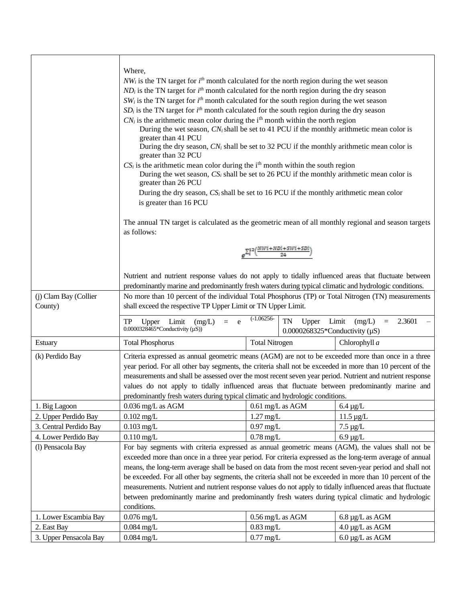|                                  | Where,<br>$NW_i$ is the TN target for $ith$ month calculated for the north region during the wet season<br>$ND_i$ is the TN target for $i^{th}$ month calculated for the north region during the dry season<br>$SW_i$ is the TN target for $i^{th}$ month calculated for the south region during the wet season<br>$SD_i$ is the TN target for $i^{th}$ month calculated for the south region during the dry season<br>$CN_i$ is the arithmetic mean color during the i <sup>th</sup> month within the north region<br>During the wet season, $CN_i$ shall be set to 41 PCU if the monthly arithmetic mean color is<br>greater than 41 PCU<br>During the dry season, $CN_i$ shall be set to 32 PCU if the monthly arithmetic mean color is<br>greater than 32 PCU<br>$CS_i$ is the arithmetic mean color during the i <sup>th</sup> month within the south region<br>During the wet season, $CS_i$ shall be set to 26 PCU if the monthly arithmetic mean color is<br>greater than 26 PCU<br>During the dry season, $CS_i$ shall be set to 16 PCU if the monthly arithmetic mean color<br>is greater than 16 PCU<br>The annual TN target is calculated as the geometric mean of all monthly regional and season targets<br>as follows: |                                                       |                                   |  |
|----------------------------------|---------------------------------------------------------------------------------------------------------------------------------------------------------------------------------------------------------------------------------------------------------------------------------------------------------------------------------------------------------------------------------------------------------------------------------------------------------------------------------------------------------------------------------------------------------------------------------------------------------------------------------------------------------------------------------------------------------------------------------------------------------------------------------------------------------------------------------------------------------------------------------------------------------------------------------------------------------------------------------------------------------------------------------------------------------------------------------------------------------------------------------------------------------------------------------------------------------------------------------------|-------------------------------------------------------|-----------------------------------|--|
|                                  |                                                                                                                                                                                                                                                                                                                                                                                                                                                                                                                                                                                                                                                                                                                                                                                                                                                                                                                                                                                                                                                                                                                                                                                                                                       | $\Sigma_i^{12}\Bigl(\frac{NWi+NDi+SWi+SDi}{24}\Bigr)$ |                                   |  |
|                                  | Nutrient and nutrient response values do not apply to tidally influenced areas that fluctuate between<br>predominantly marine and predominantly fresh waters during typical climatic and hydrologic conditions.                                                                                                                                                                                                                                                                                                                                                                                                                                                                                                                                                                                                                                                                                                                                                                                                                                                                                                                                                                                                                       |                                                       |                                   |  |
| (j) Clam Bay (Collier<br>County) | No more than 10 percent of the individual Total Phosphorus (TP) or Total Nitrogen (TN) measurements<br>shall exceed the respective TP Upper Limit or TN Upper Limit.                                                                                                                                                                                                                                                                                                                                                                                                                                                                                                                                                                                                                                                                                                                                                                                                                                                                                                                                                                                                                                                                  |                                                       |                                   |  |
|                                  | $(-1.06256 -$<br>(mg/L)<br>TN<br>Limit<br>(mg/L)<br>2.3601<br>TP<br>Upper<br>Limit<br>e<br>Upper<br>$=$<br>$=$<br>$0.0000328465$ *Conductivity ( $\mu$ S))<br>0.0000268325*Conductivity $(\mu S)$                                                                                                                                                                                                                                                                                                                                                                                                                                                                                                                                                                                                                                                                                                                                                                                                                                                                                                                                                                                                                                     |                                                       |                                   |  |
| Estuary                          | <b>Total Phosphorus</b>                                                                                                                                                                                                                                                                                                                                                                                                                                                                                                                                                                                                                                                                                                                                                                                                                                                                                                                                                                                                                                                                                                                                                                                                               | <b>Total Nitrogen</b>                                 | Chlorophyll a                     |  |
| (k) Perdido Bay                  | Criteria expressed as annual geometric means (AGM) are not to be exceeded more than once in a three<br>year period. For all other bay segments, the criteria shall not be exceeded in more than 10 percent of the<br>measurements and shall be assessed over the most recent seven year period. Nutrient and nutrient response<br>values do not apply to tidally influenced areas that fluctuate between predominantly marine and<br>predominantly fresh waters during typical climatic and hydrologic conditions.                                                                                                                                                                                                                                                                                                                                                                                                                                                                                                                                                                                                                                                                                                                    |                                                       |                                   |  |
| 1. Big Lagoon                    | $0.036$ mg/L as AGM                                                                                                                                                                                                                                                                                                                                                                                                                                                                                                                                                                                                                                                                                                                                                                                                                                                                                                                                                                                                                                                                                                                                                                                                                   | $0.61$ mg/L as AGM                                    | $6.4 \mu g/L$                     |  |
| 2. Upper Perdido Bay             | $0.102$ mg/L                                                                                                                                                                                                                                                                                                                                                                                                                                                                                                                                                                                                                                                                                                                                                                                                                                                                                                                                                                                                                                                                                                                                                                                                                          | $1.27 \text{ mg/L}$                                   | $11.5 \,\mu g/L$                  |  |
| 3. Central Perdido Bay           | $0.103$ mg/L                                                                                                                                                                                                                                                                                                                                                                                                                                                                                                                                                                                                                                                                                                                                                                                                                                                                                                                                                                                                                                                                                                                                                                                                                          | $0.97$ mg/L                                           | $7.5 \mu g/L$                     |  |
| 4. Lower Perdido Bay             | $0.110$ mg/L                                                                                                                                                                                                                                                                                                                                                                                                                                                                                                                                                                                                                                                                                                                                                                                                                                                                                                                                                                                                                                                                                                                                                                                                                          | $0.78$ mg/L                                           | $6.9 \mu g/L$                     |  |
| (1) Pensacola Bay                | For bay segments with criteria expressed as annual geometric means (AGM), the values shall not be<br>exceeded more than once in a three year period. For criteria expressed as the long-term average of annual<br>means, the long-term average shall be based on data from the most recent seven-year period and shall not<br>be exceeded. For all other bay segments, the criteria shall not be exceeded in more than 10 percent of the<br>measurements. Nutrient and nutrient response values do not apply to tidally influenced areas that fluctuate<br>between predominantly marine and predominantly fresh waters during typical climatic and hydrologic<br>conditions.                                                                                                                                                                                                                                                                                                                                                                                                                                                                                                                                                          |                                                       |                                   |  |
| 1. Lower Escambia Bay            | $0.076$ mg/L                                                                                                                                                                                                                                                                                                                                                                                                                                                                                                                                                                                                                                                                                                                                                                                                                                                                                                                                                                                                                                                                                                                                                                                                                          | 0.56 mg/L as AGM                                      | 6.8 µg/L as AGM                   |  |
| 2. East Bay                      | $0.084$ mg/L                                                                                                                                                                                                                                                                                                                                                                                                                                                                                                                                                                                                                                                                                                                                                                                                                                                                                                                                                                                                                                                                                                                                                                                                                          | $0.83$ mg/L                                           | $4.0 \mu g/L$ as AGM              |  |
| 3. Upper Pensacola Bay           | $0.084$ mg/L                                                                                                                                                                                                                                                                                                                                                                                                                                                                                                                                                                                                                                                                                                                                                                                                                                                                                                                                                                                                                                                                                                                                                                                                                          | $0.77$ mg/L                                           | $6.0 \,\mathrm{\upmu g/L}$ as AGM |  |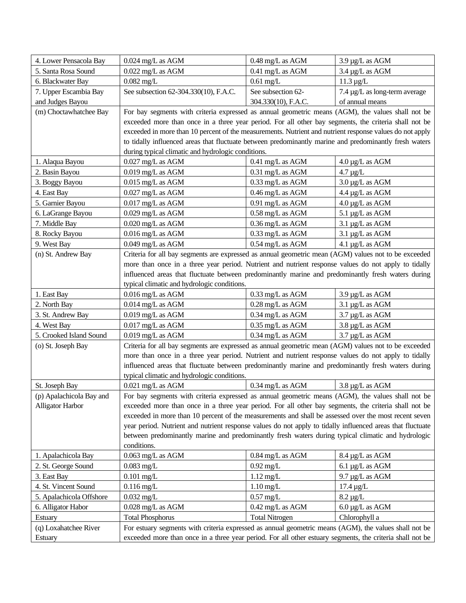| 4. Lower Pensacola Bay   | 0.024 mg/L as AGM                                                                                          | 0.48 mg/L as AGM           | 3.9 µg/L as AGM               |
|--------------------------|------------------------------------------------------------------------------------------------------------|----------------------------|-------------------------------|
| 5. Santa Rosa Sound      | $0.022$ mg/L as AGM                                                                                        | 0.41 mg/L as AGM           | 3.4 µg/L as AGM               |
| 6. Blackwater Bay        | $0.082$ mg/L                                                                                               | $0.61$ mg/L                | $11.3 \mu g/L$                |
| 7. Upper Escambia Bay    | See subsection 62-304.330(10), F.A.C.                                                                      | See subsection 62-         | 7.4 µg/L as long-term average |
| and Judges Bayou         |                                                                                                            | 304.330(10), F.A.C.        | of annual means               |
| (m) Choctawhatchee Bay   | For bay segments with criteria expressed as annual geometric means (AGM), the values shall not be          |                            |                               |
|                          | exceeded more than once in a three year period. For all other bay segments, the criteria shall not be      |                            |                               |
|                          | exceeded in more than 10 percent of the measurements. Nutrient and nutrient response values do not apply   |                            |                               |
|                          | to tidally influenced areas that fluctuate between predominantly marine and predominantly fresh waters     |                            |                               |
|                          | during typical climatic and hydrologic conditions.                                                         |                            |                               |
| 1. Alaqua Bayou          | $0.027$ mg/L as AGM                                                                                        | 0.41 mg/L as AGM           | $4.0 \mu g/L$ as AGM          |
| 2. Basin Bayou           | $0.019$ mg/L as AGM                                                                                        | 0.31 mg/L as AGM           | $4.7 \mu$ g/L                 |
| 3. Boggy Bayou           | $0.015 \; \mathrm{mg/L}$ as AGM                                                                            | 0.33 mg/L as AGM           | $3.0 \,\mu g/L$ as AGM        |
| 4. East Bay              | $0.027$ mg/L as AGM                                                                                        | $0.46$ mg/L as $\rm{AGM}$  | 4.4 µg/L as AGM               |
| 5. Garnier Bayou         | $0.017$ mg/L as AGM                                                                                        | 0.91 mg/L as AGM           | 4.0 µg/L as AGM               |
| 6. LaGrange Bayou        | 0.029 mg/L as AGM                                                                                          | 0.58 mg/L as AGM           | 5.1 µg/L as AGM               |
| 7. Middle Bay            | 0.020 mg/L as AGM                                                                                          | 0.36 mg/L as AGM           | $3.1 \mu g/L$ as AGM          |
| 8. Rocky Bayou           | $0.016$ mg/L as AGM                                                                                        | $0.33$ mg/L as AGM         | 3.1 µg/L as AGM               |
| 9. West Bay              | 0.049 mg/L as AGM                                                                                          | 0.54 mg/L as AGM           | 4.1 µg/L as AGM               |
| (n) St. Andrew Bay       | Criteria for all bay segments are expressed as annual geometric mean (AGM) values not to be exceeded       |                            |                               |
|                          | more than once in a three year period. Nutrient and nutrient response values do not apply to tidally       |                            |                               |
|                          | influenced areas that fluctuate between predominantly marine and predominantly fresh waters during         |                            |                               |
|                          | typical climatic and hydrologic conditions.                                                                |                            |                               |
| 1. East Bay              | $0.016$ mg/L as AGM                                                                                        | 0.33 mg/L as AGM           | 3.9 µg/L as AGM               |
| 2. North Bay             | $0.014$ mg/L as AGM                                                                                        | 0.28 mg/L as AGM           | $3.1 \mu g/L$ as AGM          |
| 3. St. Andrew Bay        | 0.019 mg/L as AGM                                                                                          | 0.34 mg/L as AGM           | 3.7 µg/L as AGM               |
| 4. West Bay              | $0.017$ mg/L as AGM                                                                                        | $0.35$ mg/L as AGM         | 3.8 µg/L as AGM               |
| 5. Crooked Island Sound  | $0.019$ mg/L as AGM                                                                                        | $0.34$ mg/L as AGM         | $3.7 \mu g/L$ as AGM          |
| (o) St. Joseph Bay       | Criteria for all bay segments are expressed as annual geometric mean (AGM) values not to be exceeded       |                            |                               |
|                          | more than once in a three year period. Nutrient and nutrient response values do not apply to tidally       |                            |                               |
|                          | influenced areas that fluctuate between predominantly marine and predominantly fresh waters during         |                            |                               |
|                          | typical climatic and hydrologic conditions.                                                                |                            |                               |
| St. Joseph Bay           | $0.021$ mg/L as AGM                                                                                        | $0.34$ mg/L as AGM         | $3.8 \mu g/L$ as AGM          |
| (p) Apalachicola Bay and | For bay segments with criteria expressed as annual geometric means (AGM), the values shall not be          |                            |                               |
| <b>Alligator Harbor</b>  | exceeded more than once in a three year period. For all other bay segments, the criteria shall not be      |                            |                               |
|                          | exceeded in more than 10 percent of the measurements and shall be assessed over the most recent seven      |                            |                               |
|                          | year period. Nutrient and nutrient response values do not apply to tidally influenced areas that fluctuate |                            |                               |
|                          | between predominantly marine and predominantly fresh waters during typical climatic and hydrologic         |                            |                               |
|                          | conditions.                                                                                                |                            |                               |
| 1. Apalachicola Bay      | $0.063$ mg/L as AGM                                                                                        | 0.84 mg/L as AGM           | 8.4 µg/L as AGM               |
| 2. St. George Sound      | $0.083$ mg/L                                                                                               | $0.92$ mg/L                | 6.1 $\mu$ g/L as AGM          |
| 3. East Bay              | $0.101$ mg/L                                                                                               | $1.12 \frac{mg}{L}$        | 9.7 µg/L as AGM               |
| 4. St. Vincent Sound     | $0.116$ mg/L                                                                                               | $1.10$ mg/L                | $17.4 \mu g/L$                |
| 5. Apalachicola Offshore | $0.032$ mg/L                                                                                               | $0.57$ mg/L                | $8.2 \mu g/L$                 |
| 6. Alligator Habor       | $0.028$ mg/L as AGM                                                                                        | $0.42 \text{ mg/L}$ as AGM | $6.0 \,\mu g/L$ as AGM        |
| Estuary                  | <b>Total Phosphorus</b>                                                                                    | <b>Total Nitrogen</b>      | Chlorophyll a                 |
| (q) Loxahatchee River    | For estuary segments with criteria expressed as annual geometric means (AGM), the values shall not be      |                            |                               |
| Estuary                  | exceeded more than once in a three year period. For all other estuary segments, the criteria shall not be  |                            |                               |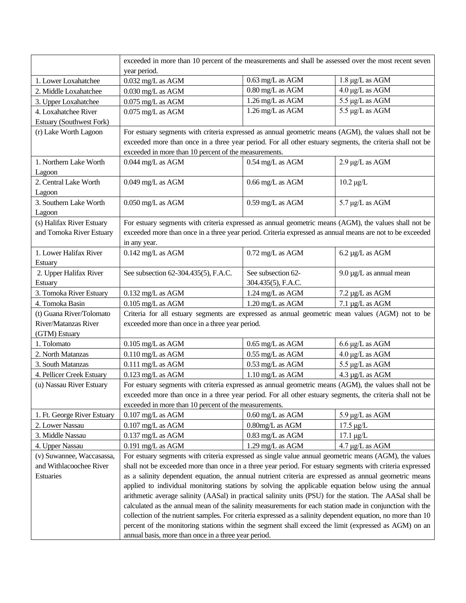|                             | exceeded in more than 10 percent of the measurements and shall be assessed over the most recent seven<br>year period. |                    |                              |
|-----------------------------|-----------------------------------------------------------------------------------------------------------------------|--------------------|------------------------------|
| 1. Lower Loxahatchee        | $0.032$ mg/L as AGM                                                                                                   | 0.63 mg/L as AGM   | 1.8 µg/L as AGM              |
| 2. Middle Loxahatchee       | 0.030 mg/L as AGM                                                                                                     | 0.80 mg/L as AGM   | 4.0 μg/L as AGM              |
| 3. Upper Loxahatchee        | $0.075$ mg/L as AGM                                                                                                   | 1.26 mg/L as AGM   | 5.5 µg/L as AGM              |
| 4. Loxahatchee River        | $0.075$ mg/L as AGM                                                                                                   | 1.26 mg/L as AGM   | 5.5 µg/L as AGM              |
| Estuary (Southwest Fork)    |                                                                                                                       |                    |                              |
| (r) Lake Worth Lagoon       | For estuary segments with criteria expressed as annual geometric means (AGM), the values shall not be                 |                    |                              |
|                             | exceeded more than once in a three year period. For all other estuary segments, the criteria shall not be             |                    |                              |
|                             | exceeded in more than 10 percent of the measurements.                                                                 |                    |                              |
| 1. Northern Lake Worth      | 0.044 mg/L as AGM                                                                                                     | 0.54 mg/L as AGM   | 2.9 µg/L as AGM              |
| Lagoon                      |                                                                                                                       |                    |                              |
| 2. Central Lake Worth       | 0.049 mg/L as AGM                                                                                                     | 0.66 mg/L as AGM   | $10.2 \mu g/L$               |
| Lagoon                      |                                                                                                                       |                    |                              |
| 3. Southern Lake Worth      | 0.050 mg/L as AGM                                                                                                     | 0.59 mg/L as AGM   | 5.7 µg/L as AGM              |
| Lagoon                      |                                                                                                                       |                    |                              |
| (s) Halifax River Estuary   | For estuary segments with criteria expressed as annual geometric means (AGM), the values shall not be                 |                    |                              |
| and Tomoka River Estuary    | exceeded more than once in a three year period. Criteria expressed as annual means are not to be exceeded             |                    |                              |
|                             | in any year.                                                                                                          |                    |                              |
| 1. Lower Halifax River      | $0.142$ mg/L as AGM                                                                                                   | 0.72 mg/L as AGM   | 6.2 µg/L as AGM              |
| Estuary                     |                                                                                                                       |                    |                              |
| 2. Upper Halifax River      | See subsection 62-304.435(5), F.A.C.                                                                                  | See subsection 62- | $9.0 \mu g/L$ as annual mean |
| Estuary                     |                                                                                                                       | 304.435(5), F.A.C. |                              |
| 3. Tomoka River Estuary     | $0.132$ mg/L as AGM                                                                                                   | 1.24 mg/L as AGM   | 7.2 µg/L as AGM              |
| 4. Tomoka Basin             | $0.105$ mg/L as AGM                                                                                                   | 1.20 mg/L as AGM   | $7.1 \mu g/L$ as AGM         |
| (t) Guana River/Tolomato    | Criteria for all estuary segments are expressed as annual geometric mean values (AGM) not to be                       |                    |                              |
| River/Matanzas River        | exceeded more than once in a three year period.                                                                       |                    |                              |
| (GTM) Estuary               |                                                                                                                       |                    |                              |
| 1. Tolomato                 | $0.105$ mg/L as AGM                                                                                                   | 0.65 mg/L as AGM   | $6.6 \mu g/L$ as AGM         |
| 2. North Matanzas           | $0.110$ mg/L as AGM                                                                                                   | 0.55 mg/L as AGM   | $4.0 \mu g/L$ as AGM         |
| 3. South Matanzas           | $0.111$ mg/L as AGM                                                                                                   | 0.53 mg/L as AGM   | 5.5 µg/L as AGM              |
| 4. Pellicer Creek Estuary   | $0.123$ mg/L as AGM                                                                                                   | 1.10 mg/L as AGM   | 4.3 µg/L as AGM              |
| (u) Nassau River Estuary    | For estuary segments with criteria expressed as annual geometric means (AGM), the values shall not be                 |                    |                              |
|                             | exceeded more than once in a three year period. For all other estuary segments, the criteria shall not be             |                    |                              |
|                             | exceeded in more than 10 percent of the measurements.                                                                 |                    |                              |
| 1. Ft. George River Estuary | $0.107$ mg/L as AGM                                                                                                   | 0.60 mg/L as AGM   | $5.9 \mu g/L$ as AGM         |
| 2. Lower Nassau             | $0.107$ mg/L as AGM                                                                                                   | 0.80mg/L as AGM    | $17.5 \mu g/L$               |
| 3. Middle Nassau            | $0.137$ mg/L as AGM                                                                                                   | 0.83 mg/L as AGM   | $17.1 \mu g/L$               |
| 4. Upper Nassau             | $0.191$ mg/L as AGM                                                                                                   | 1.29 mg/L as AGM   | 4.7 µg/L as AGM              |
| (v) Suwannee, Waccasassa,   | For estuary segments with criteria expressed as single value annual geometric means (AGM), the values                 |                    |                              |
| and Withlacoochee River     | shall not be exceeded more than once in a three year period. For estuary segments with criteria expressed             |                    |                              |
| Estuaries                   | as a salinity dependent equation, the annual nutrient criteria are expressed as annual geometric means                |                    |                              |
|                             | applied to individual monitoring stations by solving the applicable equation below using the annual                   |                    |                              |
|                             | arithmetic average salinity (AASal) in practical salinity units (PSU) for the station. The AASal shall be             |                    |                              |
|                             | calculated as the annual mean of the salinity measurements for each station made in conjunction with the              |                    |                              |
|                             | collection of the nutrient samples. For criteria expressed as a salinity dependent equation, no more than 10          |                    |                              |
|                             | percent of the monitoring stations within the segment shall exceed the limit (expressed as AGM) on an                 |                    |                              |
|                             | annual basis, more than once in a three year period.                                                                  |                    |                              |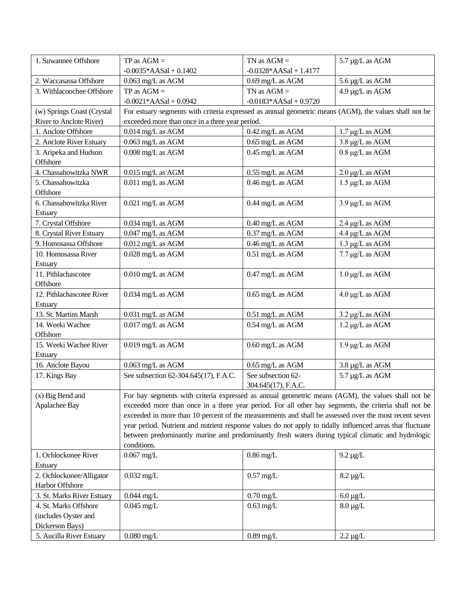| 1. Suwannee Offshore         | $TP$ as $AGM =$                                                                                            | TN as $AGM =$            | 5.7 µg/L as AGM      |
|------------------------------|------------------------------------------------------------------------------------------------------------|--------------------------|----------------------|
|                              | $-0.0035*AASal + 0.1402$                                                                                   | $-0.0328*AASal + 1.4177$ |                      |
| 2. Waccasassa Offshore       | $0.063$ mg/L as AGM                                                                                        | 0.69 mg/L as AGM         | 5.6 µg/L as AGM      |
| 3. Withlacoochee Offshore    | $TP$ as $AGM =$                                                                                            | TN as $AGM =$            | 4.9 µg/L as AGM      |
|                              | $-0.0021*AASal + 0.0942$                                                                                   | $-0.0183*AASal + 0.9720$ |                      |
| (w) Springs Coast (Crystal   | For estuary segments with criteria expressed as annual geometric means (AGM), the values shall not be      |                          |                      |
| River to Anclote River)      | exceeded more than once in a three year period.                                                            |                          |                      |
| 1. Anclote Offshore          | $0.014$ mg/L as AGM                                                                                        | 0.42 mg/L as AGM         | $1.7 \mu g/L$ as AGM |
| 2. Anclote River Estuary     | $0.063$ mg/L as AGM                                                                                        | 0.65 mg/L as AGM         | 3.8 µg/L as AGM      |
| 3. Aripeka and Hudson        | 0.008 mg/L as AGM                                                                                          | 0.45 mg/L as AGM         | $0.8 \mu g/L$ as AGM |
| Offshore                     |                                                                                                            |                          |                      |
| 4. Chassahowitzka NWR        | $0.015$ mg/L as AGM                                                                                        | 0.55 mg/L as AGM         | $2.0 \mu g/L$ as AGM |
| 5. Chassahowitzka            | $0.011$ mg/L as AGM                                                                                        | 0.46 mg/L as AGM         | 1.5 µg/L as AGM      |
| Offshore                     |                                                                                                            |                          |                      |
| 6. Chassahowitzka River      | $0.021$ mg/L as AGM                                                                                        | 0.44 mg/L as AGM         | 3.9 µg/L as AGM      |
| Estuary                      |                                                                                                            |                          |                      |
| 7. Crystal Offshore          | $0.034$ mg/L as AGM                                                                                        | 0.40 mg/L as AGM         | 2.4 µg/L as AGM      |
| 8. Crystal River Estuary     | $0.047$ mg/L as $\overline{\text{AGM}}$                                                                    | 0.37 mg/L as AGM         | 4.4 µg/L as AGM      |
| 9. Homosassa Offshore        | $0.012$ mg/L as AGM                                                                                        | 0.46 mg/L as AGM         | 1.3 µg/L as AGM      |
| 10. Homosassa River          | 0.028 mg/L as AGM                                                                                          | 0.51 mg/L as AGM         | 7.7 µg/L as AGM      |
| Estuary                      |                                                                                                            |                          |                      |
| 11. Pithlachascotee          | $0.010$ mg/L as AGM                                                                                        | 0.47 mg/L as AGM         | $1.0 \mu g/L$ as AGM |
| Offshore                     |                                                                                                            |                          |                      |
| 12. Pithlachascotee River    | 0.034 mg/L as AGM                                                                                          | 0.65 mg/L as AGM         | $4.0 \mu g/L$ as AGM |
| Estuary                      |                                                                                                            |                          |                      |
| 13. St. Martins Marsh        | 0.031 mg/L as AGM                                                                                          | 0.51 mg/L as AGM         | $3.2 \mu g/L$ as AGM |
| 14. Weeki Wachee<br>Offshore | $0.017$ mg/L as AGM                                                                                        | 0.54 mg/L as AGM         | $1.2 \mu g/L$ as AGM |
| 15. Weeki Wachee River       | $0.019$ mg/L as AGM                                                                                        | 0.60 mg/L as AGM         | $1.9 \mu g/L$ as AGM |
| Estuary                      |                                                                                                            |                          |                      |
| 16. Anclote Bayou            | 0.063 mg/L as AGM                                                                                          | 0.65 mg/L as AGM         | 3.8 µg/L as AGM      |
| 17. Kings Bay                | See subsection 62-304.645(17), F.A.C.                                                                      | See subsection 62-       | 5.7 µg/L as AGM      |
|                              |                                                                                                            | 304.645(17), F.A.C.      |                      |
| (x) Big Bend and             | For bay segments with criteria expressed as annual geometric means (AGM), the values shall not be          |                          |                      |
| Apalachee Bay                | exceeded more than once in a three year period. For all other bay segments, the criteria shall not be      |                          |                      |
|                              | exceeded in more than 10 percent of the measurements and shall be assessed over the most recent seven      |                          |                      |
|                              | year period. Nutrient and nutrient response values do not apply to tidally influenced areas that fluctuate |                          |                      |
|                              | between predominantly marine and predominantly fresh waters during typical climatic and hydrologic         |                          |                      |
|                              | conditions.                                                                                                |                          |                      |
| 1. Ochlockonee River         | $0.067$ mg/L                                                                                               | $0.86$ mg/L              | $9.2 \mu g/L$        |
| Estuary                      |                                                                                                            |                          |                      |
| 2. Ochlockonee/Alligator     | $0.032$ mg/L                                                                                               | $0.57$ mg/L              | $8.2 \mu g/L$        |
| Harbor Offshore              |                                                                                                            |                          |                      |
| 3. St. Marks River Estuary   | $0.044$ mg/L                                                                                               | $0.70$ mg/L              | $6.0 \,\mu g/L$      |
| 4. St. Marks Offshore        | $0.045$ mg/L                                                                                               | $0.63$ mg/L              | $8.0 \,\mu g/L$      |
| (includes Oyster and         |                                                                                                            |                          |                      |
| Dickerson Bays)              |                                                                                                            |                          |                      |
| 5. Aucilla River Estuary     | $0.080$ mg/L                                                                                               | $0.89$ mg/L              | $2.2 \mu g/L$        |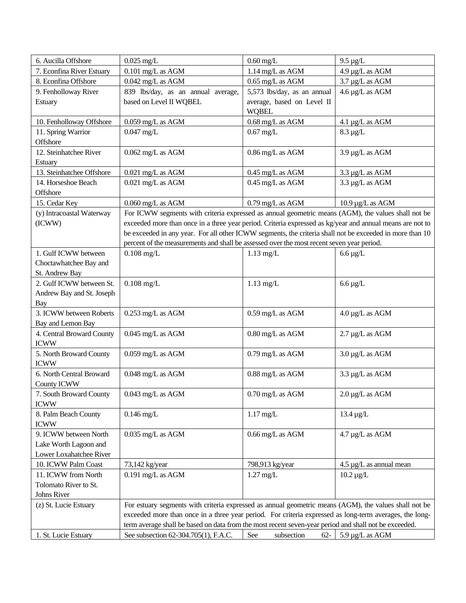| 6. Aucilla Offshore                      | $0.025$ mg/L                                                                                              | $0.60$ mg/L                   | $9.5 \mu g/L$                      |
|------------------------------------------|-----------------------------------------------------------------------------------------------------------|-------------------------------|------------------------------------|
| 7. Econfina River Estuary                | $0.101 \; \mathrm{mg/L}$ as AGM                                                                           | 1.14 mg/L as AGM              | 4.9 µg/L as AGM                    |
| 8. Econfina Offshore                     | $0.042$ mg/L as AGM                                                                                       | $0.65$ mg/L as AGM            | 3.7 µg/L as AGM                    |
| 9. Fenholloway River                     | 839 lbs/day, as an annual average,                                                                        | 5,573 lbs/day, as an annual   | 4.6 µg/L as AGM                    |
| Estuary                                  | based on Level II WQBEL                                                                                   | average, based on Level II    |                                    |
|                                          |                                                                                                           | <b>WQBEL</b>                  |                                    |
| 10. Fenholloway Offshore                 | $0.059$ mg/L as AGM                                                                                       | 0.68 mg/L as AGM              | 4.1 µg/L as AGM                    |
| 11. Spring Warrior                       | $0.047$ mg/L                                                                                              | $0.67$ mg/L                   | $8.3 \mu g/L$                      |
| Offshore                                 |                                                                                                           |                               |                                    |
| 12. Steinhatchee River                   | $0.062$ mg/L as AGM                                                                                       | 0.86 mg/L as AGM              | 3.9 µg/L as AGM                    |
| Estuary                                  |                                                                                                           |                               |                                    |
| 13. Steinhatchee Offshore                | 0.021 mg/L as AGM                                                                                         | 0.45 mg/L as AGM              | 3.3 µg/L as AGM                    |
| 14. Horseshoe Beach                      | 0.021 mg/L as AGM                                                                                         | 0.45 mg/L as AGM              | 3.3 µg/L as AGM                    |
| Offshore                                 |                                                                                                           |                               |                                    |
| 15. Cedar Key                            | $0.060$ mg/L as AGM                                                                                       | 0.79 mg/L as AGM              | $10.9 \,\mathrm{\upmu g/L}$ as AGM |
| (y) Intracoastal Waterway                | For ICWW segments with criteria expressed as annual geometric means (AGM), the values shall not be        |                               |                                    |
| (ICWW)                                   | exceeded more than once in a three year period. Criteria expressed as kg/year and annual means are not to |                               |                                    |
|                                          | be exceeded in any year. For all other ICWW segments, the criteria shall not be exceeded in more than 10  |                               |                                    |
|                                          | percent of the measurements and shall be assessed over the most recent seven year period.                 |                               |                                    |
| 1. Gulf ICWW between                     | $0.108$ mg/L                                                                                              | $1.13$ mg/L                   | $6.6 \,\mu g/L$                    |
| Choctawhatchee Bay and                   |                                                                                                           |                               |                                    |
| St. Andrew Bay                           |                                                                                                           |                               |                                    |
| 2. Gulf ICWW between St.                 | $0.108$ mg/L                                                                                              | $1.13$ mg/L                   | $6.6 \,\mu g/L$                    |
| Andrew Bay and St. Joseph                |                                                                                                           |                               |                                    |
| Bay                                      |                                                                                                           |                               |                                    |
| 3. ICWW between Roberts                  | 0.253 mg/L as AGM                                                                                         | 0.59 mg/L as AGM              | 4.0 µg/L as AGM                    |
| Bay and Lemon Bay                        |                                                                                                           |                               |                                    |
| 4. Central Broward County<br><b>ICWW</b> | $0.045$ mg/L as AGM                                                                                       | 0.80 mg/L as AGM              | 2.7 µg/L as AGM                    |
| 5. North Broward County                  |                                                                                                           | 0.79 mg/L as AGM              |                                    |
| <b>ICWW</b>                              | $0.059$ mg/L as AGM                                                                                       |                               | $3.0 \,\mu g/L$ as AGM             |
| 6. North Central Broward                 | 0.048 mg/L as AGM                                                                                         | 0.88 mg/L as AGM              | 3.3 µg/L as AGM                    |
| County ICWW                              |                                                                                                           |                               |                                    |
| 7. South Broward County                  | $0.043$ mg/L as AGM                                                                                       | $0.70 \,\mathrm{mg/L}$ as AGM | $2.0 \,\mu g/L$ as AGM             |
| <b>ICWW</b>                              |                                                                                                           |                               |                                    |
| 8. Palm Beach County                     | $0.146$ mg/L                                                                                              | $1.17$ mg/L                   | $13.4 \mu g/L$                     |
| <b>ICWW</b>                              |                                                                                                           |                               |                                    |
| 9. ICWW between North                    | $0.035$ mg/L as AGM                                                                                       | $0.66 \text{ mg/L}$ as AGM    | 4.7 µg/L as AGM                    |
| Lake Worth Lagoon and                    |                                                                                                           |                               |                                    |
| Lower Loxahatchee River                  |                                                                                                           |                               |                                    |
| 10. ICWW Palm Coast                      | 73,142 kg/year                                                                                            | 798,913 kg/year               | $4.5 \mu g/L$ as annual mean       |
| 11. ICWW from North                      | 0.191 mg/L as AGM                                                                                         | $1.27$ mg/L                   | $10.2 \,\mu g/L$                   |
| Tolomato River to St.                    |                                                                                                           |                               |                                    |
| Johns River                              |                                                                                                           |                               |                                    |
| (z) St. Lucie Estuary                    | For estuary segments with criteria expressed as annual geometric means (AGM), the values shall not be     |                               |                                    |
|                                          | exceeded more than once in a three year period. For criteria expressed as long-term averages, the long-   |                               |                                    |
|                                          | term average shall be based on data from the most recent seven-year period and shall not be exceeded.     |                               |                                    |
| 1. St. Lucie Estuary                     | See subsection 62-304.705(1), F.A.C.                                                                      | See<br>subsection<br>$62 -$   | 5.9 µg/L as AGM                    |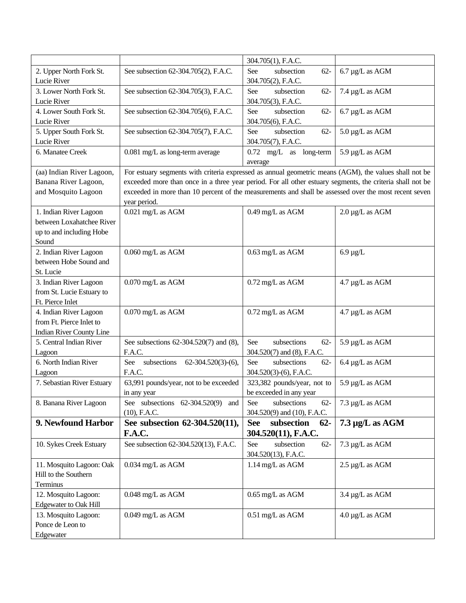|                              |                                                                                                           | 304.705(1), F.A.C.                 |                                   |
|------------------------------|-----------------------------------------------------------------------------------------------------------|------------------------------------|-----------------------------------|
| 2. Upper North Fork St.      | See subsection 62-304.705(2), F.A.C.                                                                      | subsection<br>$62 -$<br>See        | $6.7 \mu g/L$ as AGM              |
| Lucie River                  |                                                                                                           | 304.705(2), F.A.C.                 |                                   |
| 3. Lower North Fork St.      | See subsection 62-304.705(3), F.A.C.                                                                      | subsection<br>See<br>$62 -$        | 7.4 µg/L as AGM                   |
| Lucie River                  |                                                                                                           | 304.705(3), F.A.C.                 |                                   |
| 4. Lower South Fork St.      | See subsection 62-304.705(6), F.A.C.                                                                      | See<br>subsection<br>$62 -$        | $6.7 \mu g/L$ as AGM              |
| Lucie River                  |                                                                                                           | 304.705(6), F.A.C.                 |                                   |
| 5. Upper South Fork St.      | See subsection 62-304.705(7), F.A.C.                                                                      | See<br>subsection<br>$62 -$        | $5.0 \,\mathrm{\upmu g/L}$ as AGM |
| Lucie River                  |                                                                                                           | 304.705(7), F.A.C.                 |                                   |
| 6. Manatee Creek             | 0.081 mg/L as long-term average                                                                           | $0.72 \text{ mg/L}$ as long-term   | 5.9 µg/L as AGM                   |
|                              |                                                                                                           | average                            |                                   |
| (aa) Indian River Lagoon,    | For estuary segments with criteria expressed as annual geometric means (AGM), the values shall not be     |                                    |                                   |
| Banana River Lagoon,         | exceeded more than once in a three year period. For all other estuary segments, the criteria shall not be |                                    |                                   |
| and Mosquito Lagoon          | exceeded in more than 10 percent of the measurements and shall be assessed over the most recent seven     |                                    |                                   |
|                              | year period.                                                                                              |                                    |                                   |
| 1. Indian River Lagoon       | 0.021 mg/L as AGM                                                                                         | 0.49 mg/L as AGM                   | $2.0 \,\mu g/L$ as AGM            |
| between Loxahatchee River    |                                                                                                           |                                    |                                   |
| up to and including Hobe     |                                                                                                           |                                    |                                   |
| Sound                        |                                                                                                           |                                    |                                   |
| 2. Indian River Lagoon       | $0.060$ mg/L as AGM                                                                                       | 0.63 mg/L as AGM                   | $6.9 \mu g/L$                     |
| between Hobe Sound and       |                                                                                                           |                                    |                                   |
| St. Lucie                    |                                                                                                           |                                    |                                   |
| 3. Indian River Lagoon       | $0.070$ mg/L as AGM                                                                                       | 0.72 mg/L as AGM                   | 4.7 µg/L as AGM                   |
| from St. Lucie Estuary to    |                                                                                                           |                                    |                                   |
| Ft. Pierce Inlet             |                                                                                                           |                                    |                                   |
| 4. Indian River Lagoon       | $0.070$ mg/L as AGM                                                                                       | 0.72 mg/L as AGM                   | 4.7 µg/L as AGM                   |
| from Ft. Pierce Inlet to     |                                                                                                           |                                    |                                   |
| Indian River County Line     |                                                                                                           |                                    |                                   |
| 5. Central Indian River      | See subsections 62-304.520(7) and (8),                                                                    | subsections<br>See<br>$62 -$       | 5.9 µg/L as AGM                   |
| Lagoon                       | F.A.C.                                                                                                    | 304.520(7) and (8), F.A.C.         |                                   |
| 6. North Indian River        | See<br>subsections<br>$62-304.520(3)-(6)$ ,                                                               | See<br>subsections<br>$62 -$       | $6.4 \mu g/L$ as AGM              |
| Lagoon                       | F.A.C.                                                                                                    | 304.520(3)-(6), F.A.C.             |                                   |
| 7. Sebastian River Estuary   | 63,991 pounds/year, not to be exceeded                                                                    | 323,382 pounds/year, not to        | 5.9 µg/L as AGM                   |
|                              | in any year                                                                                               | be exceeded in any year            |                                   |
| 8. Banana River Lagoon       | See subsections $62-304.520(9)$<br>and                                                                    | See<br>subsections<br>$62 -$       | 7.3 µg/L as AGM                   |
|                              | $(10)$ , F.A.C.                                                                                           | 304.520(9) and (10), F.A.C.        |                                   |
| 9. Newfound Harbor           | See subsection 62-304.520(11),                                                                            | subsection<br>$62 -$<br><b>See</b> | $7.3 \mu g/L$ as AGM              |
|                              | <b>F.A.C.</b>                                                                                             | 304.520(11), F.A.C.                |                                   |
| 10. Sykes Creek Estuary      | See subsection 62-304.520(13), F.A.C.                                                                     | subsection<br>$62 -$<br>See        | 7.3 µg/L as AGM                   |
|                              |                                                                                                           | 304.520(13), F.A.C.                |                                   |
| 11. Mosquito Lagoon: Oak     | $0.034$ mg/L as AGM                                                                                       | 1.14 mg/L as AGM                   | $2.5 \mu g/L$ as AGM              |
| Hill to the Southern         |                                                                                                           |                                    |                                   |
| Terminus                     |                                                                                                           |                                    |                                   |
| 12. Mosquito Lagoon:         | 0.048 mg/L as AGM                                                                                         | $0.65$ mg/L as AGM                 | $3.4 \mu g/L$ as AGM              |
| <b>Edgewater to Oak Hill</b> |                                                                                                           |                                    |                                   |
| 13. Mosquito Lagoon:         | 0.049 mg/L as AGM                                                                                         | 0.51 mg/L as AGM                   | $4.0 \,\mu g/L$ as AGM            |
| Ponce de Leon to             |                                                                                                           |                                    |                                   |
| Edgewater                    |                                                                                                           |                                    |                                   |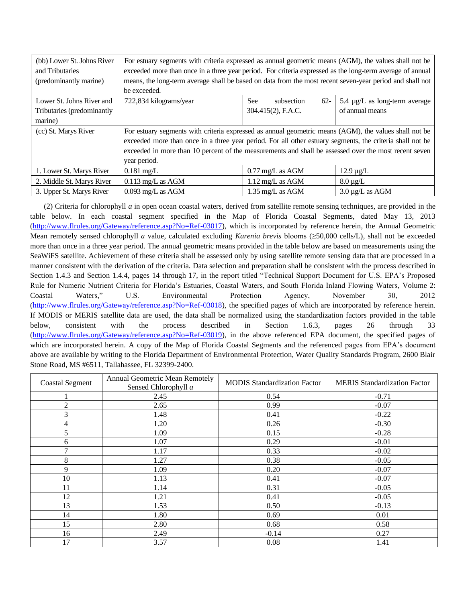| (bb) Lower St. Johns River<br>and Tributaries<br>(predominantly marine) | For estuary segments with criteria expressed as annual geometric means (AGM), the values shall not be<br>exceeded more than once in a three year period. For criteria expressed as the long-term average of annual<br>means, the long-term average shall be based on data from the most recent seven-year period and shall not<br>be exceeded. |                             |                               |
|-------------------------------------------------------------------------|------------------------------------------------------------------------------------------------------------------------------------------------------------------------------------------------------------------------------------------------------------------------------------------------------------------------------------------------|-----------------------------|-------------------------------|
| Lower St. Johns River and                                               | 722,834 kilograms/year                                                                                                                                                                                                                                                                                                                         | See<br>$62 -$<br>subsection | 5.4 µg/L as long-term average |
| Tributaries (predominantly                                              |                                                                                                                                                                                                                                                                                                                                                | 304.415(2), F.A.C.          | of annual means               |
| marine)                                                                 |                                                                                                                                                                                                                                                                                                                                                |                             |                               |
| (cc) St. Marys River                                                    | For estuary segments with criteria expressed as annual geometric means (AGM), the values shall not be<br>exceeded more than once in a three year period. For all other estuary segments, the criteria shall not be<br>exceeded in more than 10 percent of the measurements and shall be assessed over the most recent seven<br>year period.    |                             |                               |
| 1. Lower St. Marys River                                                | $0.181 \text{ mg/L}$                                                                                                                                                                                                                                                                                                                           | $0.77 \text{ mg/L}$ as AGM  | $12.9 \mu g/L$                |
| 2. Middle St. Marys River                                               | $0.113$ mg/L as AGM                                                                                                                                                                                                                                                                                                                            | 1.12 mg/L as AGM            | $8.0 \,\mu g/L$               |
| 3. Upper St. Marys River                                                | $0.093$ mg/L as AGM                                                                                                                                                                                                                                                                                                                            | 1.35 mg/L as AGM            | $3.0 \mu g/L$ as AGM          |

(2) Criteria for chlorophyll *a* in open ocean coastal waters, derived from satellite remote sensing techniques, are provided in the table below. In each coastal segment specified in the Map of Florida Coastal Segments, dated May 13, 2013 [\(http://www.flrules.org/Gateway/reference.asp?No=Ref-03017\)](http://www.flrules.org/Gateway/reference.asp?No=Ref-03017), which is incorporated by reference herein, the Annual Geometric Mean remotely sensed chlorophyll *a* value, calculated excluding *Karenia brevis* blooms (≥50,000 cells/L), shall not be exceeded more than once in a three year period. The annual geometric means provided in the table below are based on measurements using the SeaWiFS satellite. Achievement of these criteria shall be assessed only by using satellite remote sensing data that are processed in a manner consistent with the derivation of the criteria. Data selection and preparation shall be consistent with the process described in Section 1.4.3 and Section 1.4.4, pages 14 through 17, in the report titled "Technical Support Document for U.S. EPA's Proposed Rule for Numeric Nutrient Criteria for Florida's Estuaries, Coastal Waters, and South Florida Inland Flowing Waters, Volume 2: Coastal Waters," U.S. Environmental Protection Agency, November 30, 2012 [\(http://www.flrules.org/Gateway/reference.asp?No=Ref-03018\)](http://www.flrules.org/Gateway/reference.asp?No=Ref-03018), the specified pages of which are incorporated by reference herein. If MODIS or MERIS satellite data are used, the data shall be normalized using the standardization factors provided in the table below, consistent with the process described in Section 1.6.3, pages 26 through 33 [\(http://www.flrules.org/Gateway/reference.asp?No=Ref-03019\)](http://www.flrules.org/Gateway/reference.asp?No=Ref-03019), in the above referenced EPA document, the specified pages of which are incorporated herein. A copy of the Map of Florida Coastal Segments and the referenced pages from EPA's document above are available by writing to the Florida Department of Environmental Protection, Water Quality Standards Program, 2600 Blair Stone Road, MS #6511, Tallahassee, FL 32399-2400.

| <b>Coastal Segment</b> | <b>Annual Geometric Mean Remotely</b><br>Sensed Chlorophyll a | <b>MODIS Standardization Factor</b> | <b>MERIS Standardization Factor</b> |
|------------------------|---------------------------------------------------------------|-------------------------------------|-------------------------------------|
|                        | 2.45                                                          | 0.54                                | $-0.71$                             |
| $\overline{c}$         | 2.65                                                          | 0.99                                | $-0.07$                             |
| 3                      | 1.48                                                          | 0.41                                | $-0.22$                             |
| 4                      | 1.20                                                          | 0.26                                | $-0.30$                             |
| 5                      | 1.09                                                          | 0.15                                | $-0.28$                             |
| 6                      | 1.07                                                          | 0.29                                | $-0.01$                             |
| $\overline{7}$         | 1.17                                                          | 0.33                                | $-0.02$                             |
| 8                      | 1.27                                                          | 0.38                                | $-0.05$                             |
| 9                      | 1.09                                                          | 0.20                                | $-0.07$                             |
| 10                     | 1.13                                                          | 0.41                                | $-0.07$                             |
| 11                     | 1.14                                                          | 0.31                                | $-0.05$                             |
| 12                     | 1.21                                                          | 0.41                                | $-0.05$                             |
| 13                     | 1.53                                                          | 0.50                                | $-0.13$                             |
| 14                     | 1.80                                                          | 0.69                                | 0.01                                |
| 15                     | 2.80                                                          | 0.68                                | 0.58                                |
| 16                     | 2.49                                                          | $-0.14$                             | 0.27                                |
| 17                     | 3.57                                                          | 0.08                                | 1.41                                |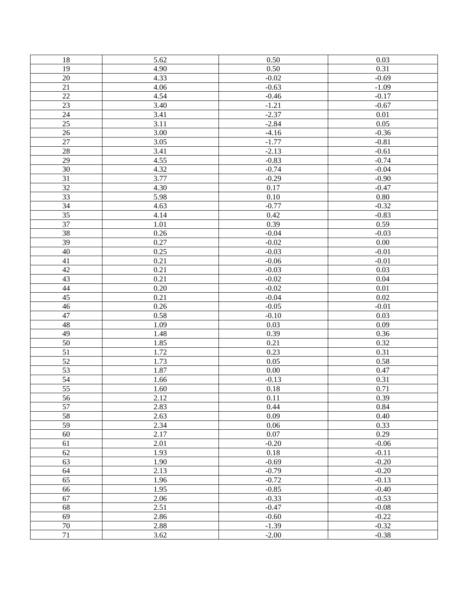| 18              | 5.62              | 0.50    | 0.03     |
|-----------------|-------------------|---------|----------|
| 19              | 4.90              | 0.50    | 0.31     |
| $20\,$          | 4.33              | $-0.02$ | $-0.69$  |
| 21              | 4.06              | $-0.63$ | $-1.09$  |
| $\overline{22}$ | 4.54              | $-0.46$ | $-0.17$  |
| 23              | 3.40              | $-1.21$ | $-0.67$  |
| $\overline{24}$ | 3.41              | $-2.37$ | 0.01     |
| $\overline{25}$ | 3.11              | $-2.84$ | 0.05     |
| $\overline{26}$ | 3.00              | $-4.16$ | $-0.36$  |
| $\overline{27}$ | $\overline{3.05}$ | $-1.77$ | $-0.81$  |
| $\overline{28}$ | 3.41              | $-2.13$ | $-0.61$  |
| $\overline{29}$ | 4.55              | $-0.83$ | $-0.74$  |
| 30              | 4.32              | $-0.74$ | $-0.04$  |
| 31              | 3.77              | $-0.29$ | $-0.90$  |
| $\overline{32}$ | 4.30              | 0.17    | $-0.47$  |
| 33              | 5.98              | 0.10    | $0.80\,$ |
| 34              | 4.63              | $-0.77$ | $-0.32$  |
| $\overline{35}$ | 4.14              | 0.42    | $-0.83$  |
| 37              | 1.01              | 0.39    | 0.59     |
| $\overline{38}$ | 0.26              | $-0.04$ | $-0.03$  |
| 39              | 0.27              | $-0.02$ | 0.00     |
| $\overline{40}$ | 0.25              | $-0.03$ | $-0.01$  |
| 41              | 0.21              | $-0.06$ | $-0.01$  |
| 42              | 0.21              | $-0.03$ | 0.03     |
| 43              | 0.21              | $-0.02$ | 0.04     |
| 44              | 0.20              | $-0.02$ | 0.01     |
| 45              | 0.21              | $-0.04$ | 0.02     |
| 46              | 0.26              | $-0.05$ | $-0.01$  |
| 47              | 0.58              | $-0.10$ |          |
| 48              |                   |         | 0.03     |
|                 | 1.09              | 0.03    | 0.09     |
| 49              | 1.48              | 0.39    | 0.36     |
| 50              | 1.85              | 0.21    | 0.32     |
| $\overline{51}$ | 1.72              | 0.23    | 0.31     |
| 52              | 1.73              | 0.05    | 0.58     |
| 53              | 1.87              | 0.00    | 0.47     |
| $\overline{54}$ | 1.66              | $-0.13$ | 0.31     |
| 55              | 1.60              | 0.18    | 0.71     |
| 56              | 2.12              | 0.11    | 0.39     |
| 57              | 2.83              | 0.44    | 0.84     |
| 58              | 2.63              | 0.09    | 0.40     |
| $\overline{59}$ | 2.34              | 0.06    | 0.33     |
| 60              | 2.17              | 0.07    | 0.29     |
| 61              | 2.01              | $-0.20$ | $-0.06$  |
| 62              | 1.93              | 0.18    | $-0.11$  |
| 63              | 1.90              | $-0.69$ | $-0.20$  |
| 64              | 2.13              | $-0.79$ | $-0.20$  |
| 65              | 1.96              | $-0.72$ | $-0.13$  |
| 66              | 1.95              | $-0.85$ | $-0.40$  |
| 67              | 2.06              | $-0.33$ | $-0.53$  |
| 68              | 2.51              | $-0.47$ | $-0.08$  |
| 69              | 2.86              | $-0.60$ | $-0.22$  |
| 70              | 2.88              | $-1.39$ | $-0.32$  |
| 71              | 3.62              | $-2.00$ | $-0.38$  |